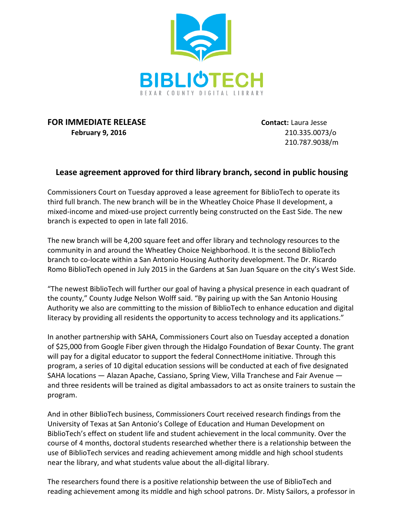

## **FOR IMMEDIATE RELEASE Contact:** Laura Jesse **February 9, 2016** 210.335.0073/o

210.787.9038/m

## **Lease agreement approved for third library branch, second in public housing**

Commissioners Court on Tuesday approved a lease agreement for BiblioTech to operate its third full branch. The new branch will be in the Wheatley Choice Phase II development, a mixed-income and mixed-use project currently being constructed on the East Side. The new branch is expected to open in late fall 2016.

The new branch will be 4,200 square feet and offer library and technology resources to the community in and around the Wheatley Choice Neighborhood. It is the second BiblioTech branch to co-locate within a San Antonio Housing Authority development. The Dr. Ricardo Romo BiblioTech opened in July 2015 in the Gardens at San Juan Square on the city's West Side.

"The newest BiblioTech will further our goal of having a physical presence in each quadrant of the county," County Judge Nelson Wolff said. "By pairing up with the San Antonio Housing Authority we also are committing to the mission of BiblioTech to enhance education and digital literacy by providing all residents the opportunity to access technology and its applications."

In another partnership with SAHA, Commissioners Court also on Tuesday accepted a donation of \$25,000 from Google Fiber given through the Hidalgo Foundation of Bexar County. The grant will pay for a digital educator to support the federal ConnectHome initiative. Through this program, a series of 10 digital education sessions will be conducted at each of five designated SAHA locations — Alazan Apache, Cassiano, Spring View, Villa Tranchese and Fair Avenue and three residents will be trained as digital ambassadors to act as onsite trainers to sustain the program.

And in other BiblioTech business, Commissioners Court received research findings from the University of Texas at San Antonio's College of Education and Human Development on BiblioTech's effect on student life and student achievement in the local community. Over the course of 4 months, doctoral students researched whether there is a relationship between the use of BiblioTech services and reading achievement among middle and high school students near the library, and what students value about the all-digital library.

The researchers found there is a positive relationship between the use of BiblioTech and reading achievement among its middle and high school patrons. Dr. Misty Sailors, a professor in